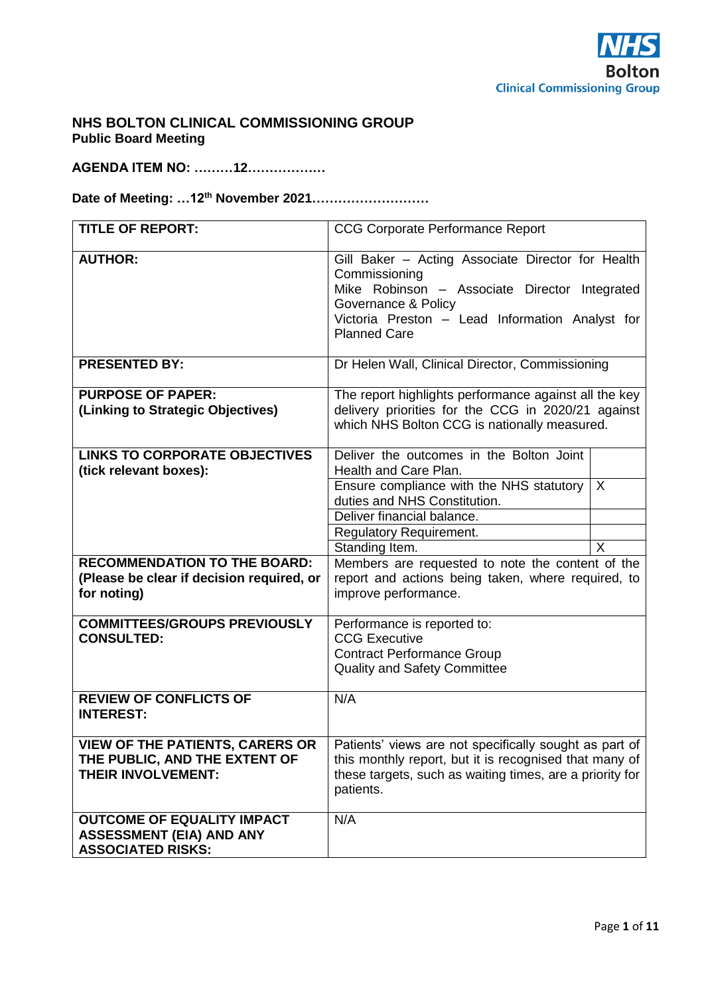

# **NHS BOLTON CLINICAL COMMISSIONING GROUP Public Board Meeting**

## **AGENDA ITEM NO: ………12………………**

# **Date of Meeting: …12th November 2021………………………**

| <b>TITLE OF REPORT:</b>                                                                              | <b>CCG Corporate Performance Report</b>                                                                                                                                                                              |  |  |  |  |  |
|------------------------------------------------------------------------------------------------------|----------------------------------------------------------------------------------------------------------------------------------------------------------------------------------------------------------------------|--|--|--|--|--|
| <b>AUTHOR:</b>                                                                                       | Gill Baker - Acting Associate Director for Health<br>Commissioning<br>Mike Robinson - Associate Director Integrated<br>Governance & Policy<br>Victoria Preston - Lead Information Analyst for<br><b>Planned Care</b> |  |  |  |  |  |
| <b>PRESENTED BY:</b>                                                                                 | Dr Helen Wall, Clinical Director, Commissioning                                                                                                                                                                      |  |  |  |  |  |
| <b>PURPOSE OF PAPER:</b><br>(Linking to Strategic Objectives)                                        | The report highlights performance against all the key<br>delivery priorities for the CCG in 2020/21 against<br>which NHS Bolton CCG is nationally measured.                                                          |  |  |  |  |  |
| <b>LINKS TO CORPORATE OBJECTIVES</b><br>(tick relevant boxes):                                       | Deliver the outcomes in the Bolton Joint<br>Health and Care Plan.                                                                                                                                                    |  |  |  |  |  |
|                                                                                                      | Ensure compliance with the NHS statutory<br>$\sf X$<br>duties and NHS Constitution.                                                                                                                                  |  |  |  |  |  |
|                                                                                                      | Deliver financial balance.                                                                                                                                                                                           |  |  |  |  |  |
|                                                                                                      | <b>Regulatory Requirement.</b>                                                                                                                                                                                       |  |  |  |  |  |
| <b>RECOMMENDATION TO THE BOARD:</b>                                                                  | Standing Item.<br>X                                                                                                                                                                                                  |  |  |  |  |  |
| (Please be clear if decision required, or<br>for noting)                                             | Members are requested to note the content of the<br>report and actions being taken, where required, to<br>improve performance.                                                                                       |  |  |  |  |  |
| <b>COMMITTEES/GROUPS PREVIOUSLY</b><br><b>CONSULTED:</b>                                             | Performance is reported to:<br><b>CCG Executive</b><br><b>Contract Performance Group</b><br><b>Quality and Safety Committee</b>                                                                                      |  |  |  |  |  |
| <b>REVIEW OF CONFLICTS OF</b><br><b>INTEREST:</b>                                                    | N/A                                                                                                                                                                                                                  |  |  |  |  |  |
| <b>VIEW OF THE PATIENTS, CARERS OR</b><br>THE PUBLIC, AND THE EXTENT OF<br><b>THEIR INVOLVEMENT:</b> | Patients' views are not specifically sought as part of<br>this monthly report, but it is recognised that many of<br>these targets, such as waiting times, are a priority for<br>patients.                            |  |  |  |  |  |
| <b>OUTCOME OF EQUALITY IMPACT</b><br><b>ASSESSMENT (EIA) AND ANY</b><br><b>ASSOCIATED RISKS:</b>     | N/A                                                                                                                                                                                                                  |  |  |  |  |  |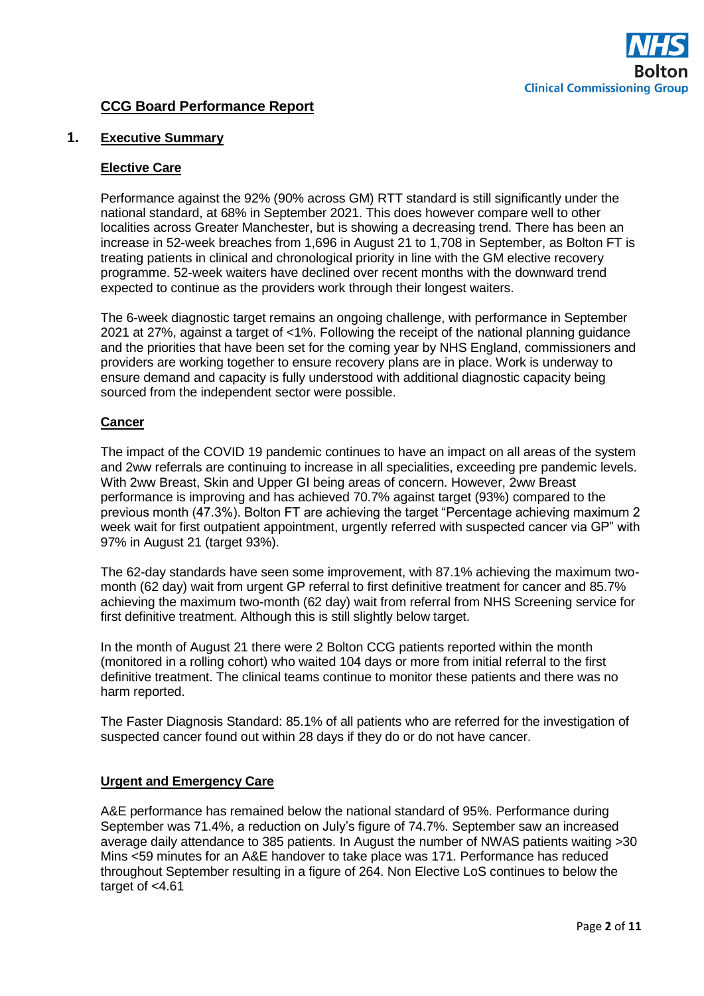

# **CCG Board Performance Report**

#### **1. Executive Summary**

#### **Elective Care**

Performance against the 92% (90% across GM) RTT standard is still significantly under the national standard, at 68% in September 2021. This does however compare well to other localities across Greater Manchester, but is showing a decreasing trend. There has been an increase in 52-week breaches from 1,696 in August 21 to 1,708 in September, as Bolton FT is treating patients in clinical and chronological priority in line with the GM elective recovery programme. 52-week waiters have declined over recent months with the downward trend expected to continue as the providers work through their longest waiters.

The 6-week diagnostic target remains an ongoing challenge, with performance in September 2021 at 27%, against a target of <1%. Following the receipt of the national planning guidance and the priorities that have been set for the coming year by NHS England, commissioners and providers are working together to ensure recovery plans are in place. Work is underway to ensure demand and capacity is fully understood with additional diagnostic capacity being sourced from the independent sector were possible.

### **Cancer**

The impact of the COVID 19 pandemic continues to have an impact on all areas of the system and 2ww referrals are continuing to increase in all specialities, exceeding pre pandemic levels. With 2ww Breast, Skin and Upper GI being areas of concern. However, 2ww Breast performance is improving and has achieved 70.7% against target (93%) compared to the previous month (47.3%). Bolton FT are achieving the target "Percentage achieving maximum 2 week wait for first outpatient appointment, urgently referred with suspected cancer via GP" with 97% in August 21 (target 93%).

The 62-day standards have seen some improvement, with 87.1% achieving the maximum twomonth (62 day) wait from urgent GP referral to first definitive treatment for cancer and 85.7% achieving the maximum two-month (62 day) wait from referral from NHS Screening service for first definitive treatment. Although this is still slightly below target.

In the month of August 21 there were 2 Bolton CCG patients reported within the month (monitored in a rolling cohort) who waited 104 days or more from initial referral to the first definitive treatment. The clinical teams continue to monitor these patients and there was no harm reported.

The Faster Diagnosis Standard: 85.1% of all patients who are referred for the investigation of suspected cancer found out within 28 days if they do or do not have cancer.

### **Urgent and Emergency Care**

A&E performance has remained below the national standard of 95%. Performance during September was 71.4%, a reduction on July's figure of 74.7%. September saw an increased average daily attendance to 385 patients. In August the number of NWAS patients waiting >30 Mins <59 minutes for an A&E handover to take place was 171. Performance has reduced throughout September resulting in a figure of 264. Non Elective LoS continues to below the target of <4.61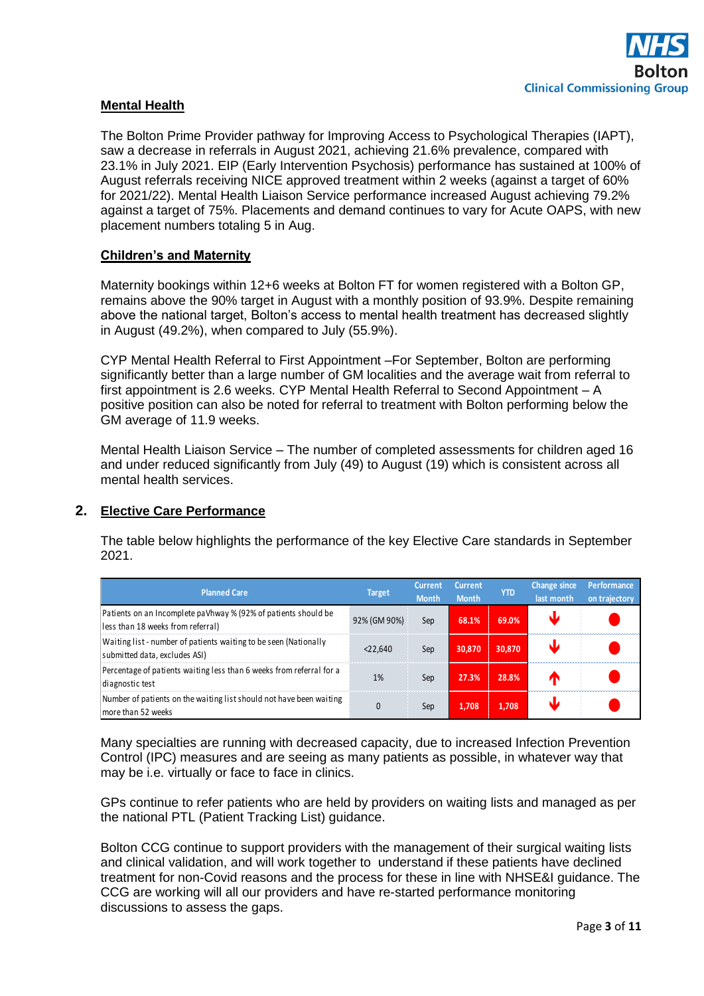### **Mental Health**

The Bolton Prime Provider pathway for Improving Access to Psychological Therapies (IAPT), saw a decrease in referrals in August 2021, achieving 21.6% prevalence, compared with 23.1% in July 2021. EIP (Early Intervention Psychosis) performance has sustained at 100% of August referrals receiving NICE approved treatment within 2 weeks (against a target of 60% for 2021/22). Mental Health Liaison Service performance increased August achieving 79.2% against a target of 75%. Placements and demand continues to vary for Acute OAPS, with new placement numbers totaling 5 in Aug.

#### **Children's and Maternity**

Maternity bookings within 12+6 weeks at Bolton FT for women registered with a Bolton GP, remains above the 90% target in August with a monthly position of 93.9%. Despite remaining above the national target, Bolton's access to mental health treatment has decreased slightly in August (49.2%), when compared to July (55.9%).

CYP Mental Health Referral to First Appointment –For September, Bolton are performing significantly better than a large number of GM localities and the average wait from referral to first appointment is 2.6 weeks. CYP Mental Health Referral to Second Appointment – A positive position can also be noted for referral to treatment with Bolton performing below the GM average of 11.9 weeks.

Mental Health Liaison Service – The number of completed assessments for children aged 16 and under reduced significantly from July (49) to August (19) which is consistent across all mental health services.

### **2. Elective Care Performance**

The table below highlights the performance of the key Elective Care standards in September 2021.

| <b>Planned Care</b>                                                                                 | <b>Target</b> | <b>Current</b><br><b>Month</b> | <b>Current</b><br><b>Month</b> | <b>YTD</b> | <b>Change since</b><br>last month | Performance <sup>1</sup><br>on trajectory |
|-----------------------------------------------------------------------------------------------------|---------------|--------------------------------|--------------------------------|------------|-----------------------------------|-------------------------------------------|
| Patients on an Incomplete paVhway % (92% of patients should be<br>less than 18 weeks from referral) | 92% (GM 90%)  | Sep                            | 68.1%                          | 69.0%      |                                   |                                           |
| Waiting list - number of patients waiting to be seen (Nationally<br>submitted data, excludes ASI)   | < 22.640      | Sep                            | 30,870                         | 30.870     |                                   |                                           |
| Percentage of patients waiting less than 6 weeks from referral for a<br>diagnostic test             | 1%            | Sep                            | 27.3%                          | 28.8%      |                                   |                                           |
| Number of patients on the waiting list should not have been waiting<br>more than 52 weeks           | 0             | Sep                            | 1,708                          | 1.708      |                                   |                                           |

Many specialties are running with decreased capacity, due to increased Infection Prevention Control (IPC) measures and are seeing as many patients as possible, in whatever way that may be i.e. virtually or face to face in clinics.

GPs continue to refer patients who are held by providers on waiting lists and managed as per the national PTL (Patient Tracking List) guidance.

Bolton CCG continue to support providers with the management of their surgical waiting lists and clinical validation, and will work together to understand if these patients have declined treatment for non-Covid reasons and the process for these in line with NHSE&I guidance. The CCG are working will all our providers and have re-started performance monitoring discussions to assess the gaps.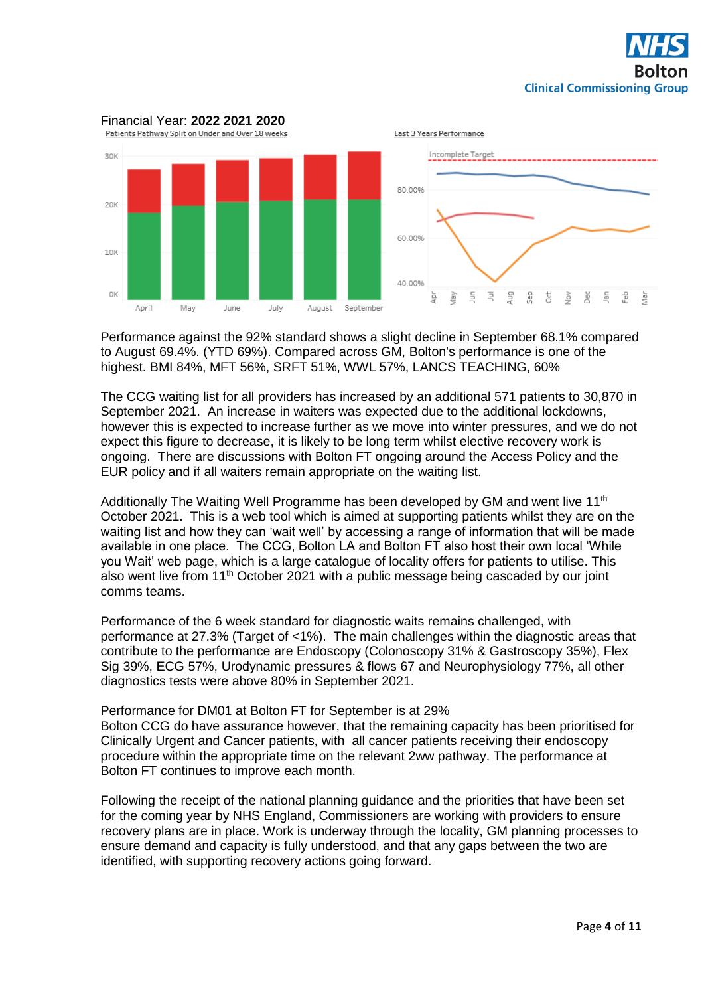



Performance against the 92% standard shows a slight decline in September 68.1% compared to August 69.4%. (YTD 69%). Compared across GM, Bolton's performance is one of the highest. BMI 84%, MFT 56%, SRFT 51%, WWL 57%, LANCS TEACHING, 60%

The CCG waiting list for all providers has increased by an additional 571 patients to 30,870 in September 2021. An increase in waiters was expected due to the additional lockdowns, however this is expected to increase further as we move into winter pressures, and we do not expect this figure to decrease, it is likely to be long term whilst elective recovery work is ongoing. There are discussions with Bolton FT ongoing around the Access Policy and the EUR policy and if all waiters remain appropriate on the waiting list.

Additionally The Waiting Well Programme has been developed by GM and went live 11<sup>th</sup> October 2021. This is a web tool which is aimed at supporting patients whilst they are on the waiting list and how they can 'wait well' by accessing a range of information that will be made available in one place. The CCG, Bolton LA and Bolton FT also host their own local 'While you Wait' web page, which is a large catalogue of locality offers for patients to utilise. This also went live from 11<sup>th</sup> October 2021 with a public message being cascaded by our joint comms teams.

Performance of the 6 week standard for diagnostic waits remains challenged, with performance at 27.3% (Target of <1%). The main challenges within the diagnostic areas that contribute to the performance are Endoscopy (Colonoscopy 31% & Gastroscopy 35%), Flex Sig 39%, ECG 57%, Urodynamic pressures & flows 67 and Neurophysiology 77%, all other diagnostics tests were above 80% in September 2021.

Performance for DM01 at Bolton FT for September is at 29% Bolton CCG do have assurance however, that the remaining capacity has been prioritised for Clinically Urgent and Cancer patients, with all cancer patients receiving their endoscopy procedure within the appropriate time on the relevant 2ww pathway. The performance at Bolton FT continues to improve each month.

Following the receipt of the national planning guidance and the priorities that have been set for the coming year by NHS England, Commissioners are working with providers to ensure recovery plans are in place. Work is underway through the locality, GM planning processes to ensure demand and capacity is fully understood, and that any gaps between the two are identified, with supporting recovery actions going forward.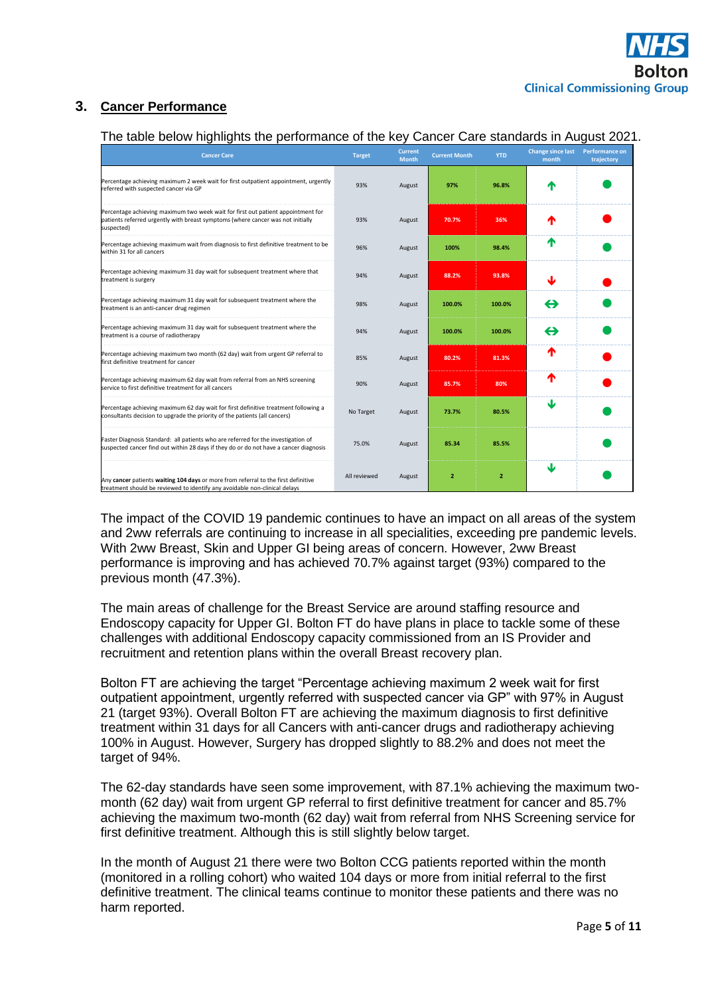# **3. Cancer Performance**

# The table below highlights the performance of the key Cancer Care standards in August 2021.

| <b>Cancer Care</b>                                                                                                                                                                                                                                                                                                                                                                                                                                                                         | <b>Target</b> | <b>Current</b><br><b>Month</b> | <b>Current Month</b> | <b>YTD</b>     | <b>Change since last</b><br>month | <b>Performance on</b><br>trajectory |  |  |  |
|--------------------------------------------------------------------------------------------------------------------------------------------------------------------------------------------------------------------------------------------------------------------------------------------------------------------------------------------------------------------------------------------------------------------------------------------------------------------------------------------|---------------|--------------------------------|----------------------|----------------|-----------------------------------|-------------------------------------|--|--|--|
| Percentage achieving maximum 2 week wait for first outpatient appointment, urgently<br>referred with suspected cancer via GP                                                                                                                                                                                                                                                                                                                                                               | 93%           | August                         | 97%                  | 96.8%          |                                   |                                     |  |  |  |
| Percentage achieving maximum two week wait for first out patient appointment for<br>patients referred urgently with breast symptoms (where cancer was not initially<br>suspected)                                                                                                                                                                                                                                                                                                          | 93%           | August                         | 70.7%                | 36%            | Т                                 |                                     |  |  |  |
| Percentage achieving maximum wait from diagnosis to first definitive treatment to be<br>within 31 for all cancers                                                                                                                                                                                                                                                                                                                                                                          | 96%           | August                         | 100%                 | 98.4%          | Т                                 |                                     |  |  |  |
| Percentage achieving maximum 31 day wait for subsequent treatment where that<br>treatment is surgery                                                                                                                                                                                                                                                                                                                                                                                       | 94%           | August                         | 88.2%                | 93.8%          | J                                 |                                     |  |  |  |
| Percentage achieving maximum 31 day wait for subsequent treatment where the<br>treatment is an anti-cancer drug regimen                                                                                                                                                                                                                                                                                                                                                                    | 98%           | August                         | 100.0%               | 100.0%         | ⇔                                 |                                     |  |  |  |
| Percentage achieving maximum 31 day wait for subsequent treatment where the<br>treatment is a course of radiotherapy                                                                                                                                                                                                                                                                                                                                                                       | 94%           | August                         | 100.0%               | 100.0%         | ⇔                                 |                                     |  |  |  |
| Percentage achieving maximum two month (62 day) wait from urgent GP referral to<br>first definitive treatment for cancer                                                                                                                                                                                                                                                                                                                                                                   | 85%           | August                         | 80.2%                | 81.3%          | Т                                 |                                     |  |  |  |
| Percentage achieving maximum 62 day wait from referral from an NHS screening<br>service to first definitive treatment for all cancers                                                                                                                                                                                                                                                                                                                                                      | 90%           | August                         | 85.7%                | 80%            | ↑                                 |                                     |  |  |  |
| Percentage achieving maximum 62 day wait for first definitive treatment following a<br>consultants decision to upgrade the priority of the patients (all cancers)                                                                                                                                                                                                                                                                                                                          | No Target     | August                         | 73.7%                | 80.5%          | ₩                                 |                                     |  |  |  |
| Faster Diagnosis Standard: all patients who are referred for the investigation of<br>suspected cancer find out within 28 days if they do or do not have a cancer diagnosis                                                                                                                                                                                                                                                                                                                 | 75.0%         | August                         | 85.34                | 85.5%          |                                   |                                     |  |  |  |
| Any cancer patients waiting 104 days or more from referral to the first definitive<br>treatment should be reviewed to identify any avoidable non-clinical delays                                                                                                                                                                                                                                                                                                                           | All reviewed  | August                         | $\overline{2}$       | $\overline{2}$ | ₩                                 |                                     |  |  |  |
| performance is improving and has achieved 70.7% against target (93%) compared to the<br>previous month (47.3%).<br>The main areas of challenge for the Breast Service are around staffing resource and<br>Endoscopy capacity for Upper GI. Bolton FT do have plans in place to tackle some of these                                                                                                                                                                                        |               |                                |                      |                |                                   |                                     |  |  |  |
| challenges with additional Endoscopy capacity commissioned from an IS Provider and<br>recruitment and retention plans within the overall Breast recovery plan.                                                                                                                                                                                                                                                                                                                             |               |                                |                      |                |                                   |                                     |  |  |  |
| Bolton FT are achieving the target "Percentage achieving maximum 2 week wait for first<br>outpatient appointment, urgently referred with suspected cancer via GP" with 97% in August<br>21 (target 93%). Overall Bolton FT are achieving the maximum diagnosis to first definitive<br>treatment within 31 days for all Cancers with anti-cancer drugs and radiotherapy achieving<br>100% in August. However, Surgery has dropped slightly to 88.2% and does not meet the<br>target of 94%. |               |                                |                      |                |                                   |                                     |  |  |  |
| The 62-day standards have seen some improvement, with 87.1% achieving the maximum two<br>month (62 day) wait from urgent GP referral to first definitive treatment for cancer and 85.7%<br>achieving the maximum two-month (62 day) wait from referral from NHS Screening service for<br>first definitive treatment. Although this is still slightly below target.                                                                                                                         |               |                                |                      |                |                                   |                                     |  |  |  |
| In the month of August 21 there were two Bolton CCG patients reported within the month<br>(monitored in a rolling cohort) who waited 104 days or more from initial referral to the first<br>definitive treatment. The clinical teams continue to monitor these patients and there was no<br>harm reported.                                                                                                                                                                                 |               |                                |                      |                |                                   |                                     |  |  |  |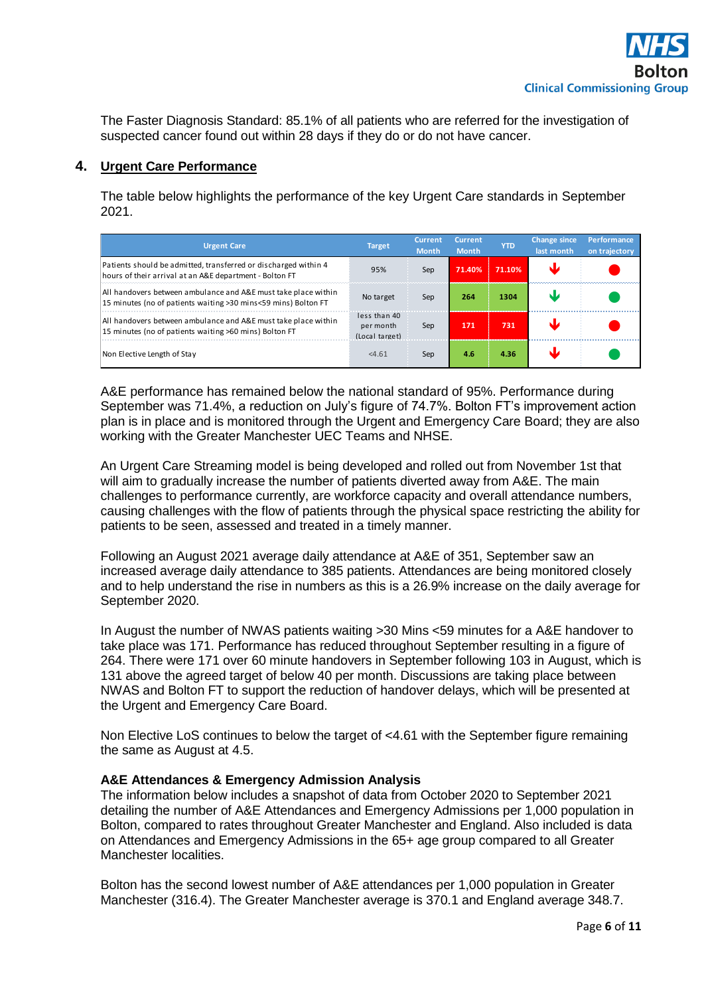The Faster Diagnosis Standard: 85.1% of all patients who are referred for the investigation of suspected cancer found out within 28 days if they do or do not have cancer.

## **4. Urgent Care Performance**

The table below highlights the performance of the key Urgent Care standards in September 2021.

| <b>Urgent Care</b>                                                                                                               | <b>Target</b>                               | Current<br><b>Month</b> | <b>Current</b><br><b>Month</b> | <b>YTD</b> | <b>Change since</b><br>last month | <b>Performance</b><br>on trajectory |
|----------------------------------------------------------------------------------------------------------------------------------|---------------------------------------------|-------------------------|--------------------------------|------------|-----------------------------------|-------------------------------------|
| Patients should be admitted, transferred or discharged within 4<br>hours of their arrival at an A&E department - Bolton FT       | 95%                                         | Sep                     | 71.40%                         | 71.10%     |                                   |                                     |
| All handovers between ambulance and A&E must take place within<br>15 minutes (no of patients waiting >30 mins<59 mins) Bolton FT | No target                                   | Sep                     | 264                            | 1304       |                                   |                                     |
| All handovers between ambulance and A&E must take place within<br>15 minutes (no of patients waiting >60 mins) Bolton FT         | less than 40<br>per month<br>(Local target) | Sep                     | 171                            | 731        |                                   |                                     |
| Non Elective Length of Stay                                                                                                      | < 4.61                                      | Sep                     | 4.6                            | 4.36       |                                   |                                     |

A&E performance has remained below the national standard of 95%. Performance during September was 71.4%, a reduction on July's figure of 74.7%. Bolton FT's improvement action plan is in place and is monitored through the Urgent and Emergency Care Board; they are also working with the Greater Manchester UEC Teams and NHSE.

An Urgent Care Streaming model is being developed and rolled out from November 1st that will aim to gradually increase the number of patients diverted away from A&E. The main challenges to performance currently, are workforce capacity and overall attendance numbers, causing challenges with the flow of patients through the physical space restricting the ability for patients to be seen, assessed and treated in a timely manner.

Following an August 2021 average daily attendance at A&E of 351, September saw an increased average daily attendance to 385 patients. Attendances are being monitored closely and to help understand the rise in numbers as this is a 26.9% increase on the daily average for September 2020.

In August the number of NWAS patients waiting >30 Mins <59 minutes for a A&E handover to take place was 171. Performance has reduced throughout September resulting in a figure of 264. There were 171 over 60 minute handovers in September following 103 in August, which is 131 above the agreed target of below 40 per month. Discussions are taking place between NWAS and Bolton FT to support the reduction of handover delays, which will be presented at the Urgent and Emergency Care Board.

Non Elective LoS continues to below the target of <4.61 with the September figure remaining the same as August at 4.5.

### **A&E Attendances & Emergency Admission Analysis**

The information below includes a snapshot of data from October 2020 to September 2021 detailing the number of A&E Attendances and Emergency Admissions per 1,000 population in Bolton, compared to rates throughout Greater Manchester and England. Also included is data on Attendances and Emergency Admissions in the 65+ age group compared to all Greater Manchester localities.

Bolton has the second lowest number of A&E attendances per 1,000 population in Greater Manchester (316.4). The Greater Manchester average is 370.1 and England average 348.7.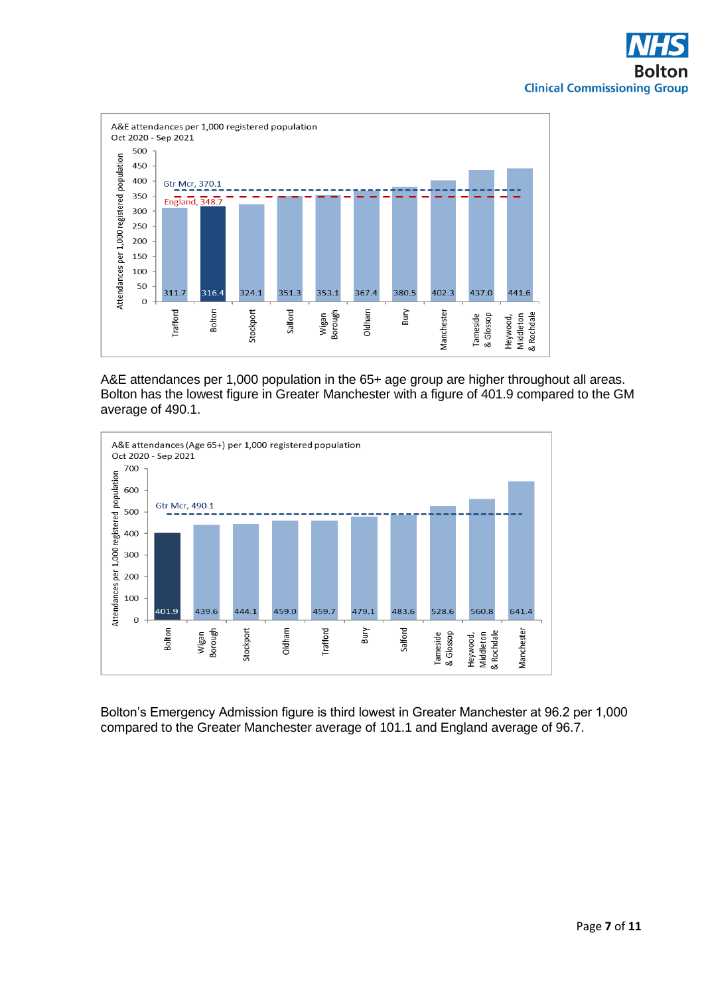

A&E attendances per 1,000 population in the 65+ age group are higher throughout all areas. Bolton has the lowest figure in Greater Manchester with a figure of 401.9 compared to the GM average of 490.1.



Bolton's Emergency Admission figure is third lowest in Greater Manchester at 96.2 per 1,000 compared to the Greater Manchester average of 101.1 and England average of 96.7.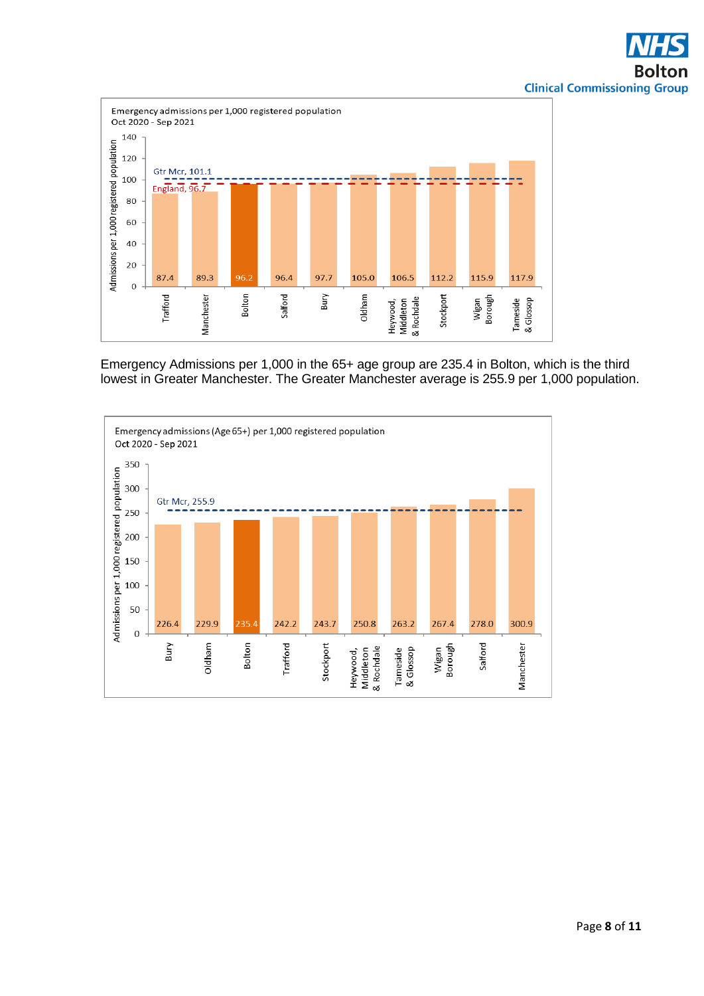

Emergency Admissions per 1,000 in the 65+ age group are 235.4 in Bolton, which is the third lowest in Greater Manchester. The Greater Manchester average is 255.9 per 1,000 population.

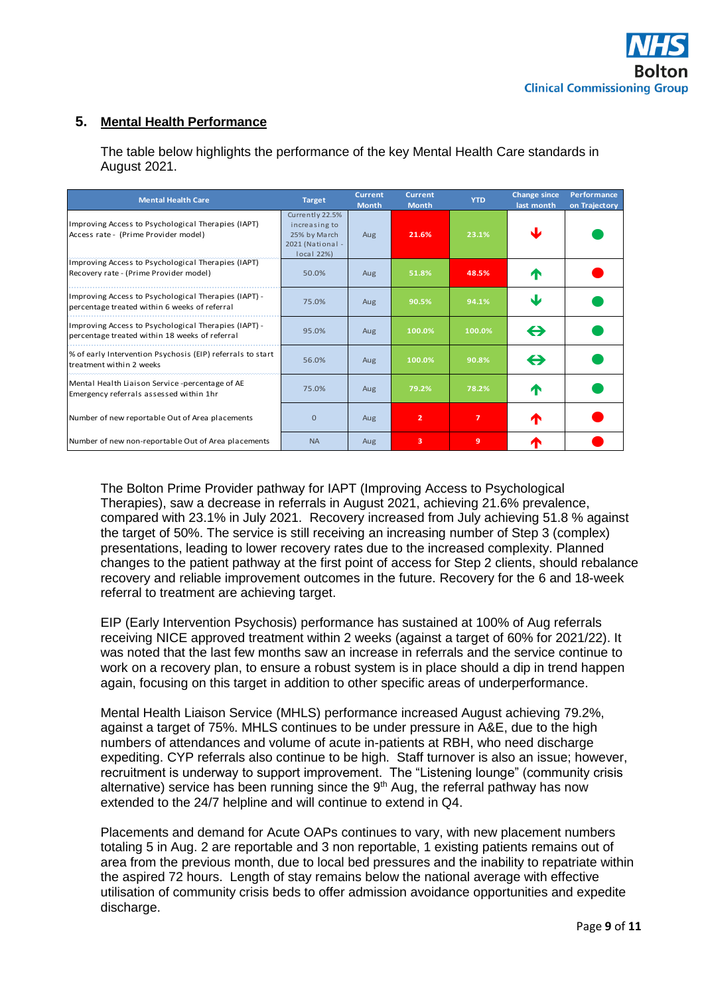# **5. Mental Health Performance**

|                                                                                       |  | Alexander March 1996, Alexander and The Contract of the Contract of the Contract of the Contract of the Contract of the Contract of the Contract of the Contract of the Contract of the Contract of the Contract of the Contra |  |
|---------------------------------------------------------------------------------------|--|--------------------------------------------------------------------------------------------------------------------------------------------------------------------------------------------------------------------------------|--|
|                                                                                       |  |                                                                                                                                                                                                                                |  |
| August 2021.                                                                          |  |                                                                                                                                                                                                                                |  |
| The table below highlights the performance of the key Mental Health Care standards in |  |                                                                                                                                                                                                                                |  |

The table below highlights the performance of the key Mental Health Care standards in

| <b>Mental Health Care</b>                                                                              | <b>Target</b>                                                                      | <b>Current</b><br><b>Month</b> | <b>Current</b><br><b>Month</b> | <b>YTD</b> | <b>Change since</b><br>last month | Performance<br>on Trajectory |
|--------------------------------------------------------------------------------------------------------|------------------------------------------------------------------------------------|--------------------------------|--------------------------------|------------|-----------------------------------|------------------------------|
| Improving Access to Psychological Therapies (IAPT)<br>Access rate - (Prime Provider model)             | Currently 22.5%<br>increasing to<br>25% by March<br>2021 (National -<br>local 22%) | Aug                            | 21.6%                          | 23.1%      | sk.                               |                              |
| Improving Access to Psychological Therapies (IAPT)<br>Recovery rate - (Prime Provider model)           | 50.0%                                                                              | Aug                            | 51.8%                          | 48.5%      | T                                 |                              |
| Improving Access to Psychological Therapies (IAPT) -<br>percentage treated within 6 weeks of referral  | 75.0%                                                                              | Aug                            | 90.5%                          | 94.1%      | J                                 |                              |
| Improving Access to Psychological Therapies (IAPT) -<br>percentage treated within 18 weeks of referral | 95.0%                                                                              | Aug                            | 100.0%                         | 100.0%     | $\leftrightarrow$                 |                              |
| % of early Intervention Psychosis (EIP) referrals to start<br>treatment within 2 weeks                 | 56.0%                                                                              | Aug                            | 100.0%                         | 90.8%      | $\leftrightarrow$                 |                              |
| Mental Health Liaison Service -percentage of AE<br>Emergency referrals assessed within 1hr             | 75.0%                                                                              | Aug                            | 79.2%                          | 78.2%      | T                                 |                              |
| Number of new reportable Out of Area placements                                                        | $\Omega$                                                                           | Aug                            | $\overline{2}$                 | 7          | ↑                                 |                              |
| Number of new non-reportable Out of Area placements                                                    | <b>NA</b>                                                                          | Aug                            | 3                              | 9          | T                                 |                              |

The Bolton Prime Provider pathway for IAPT (Improving Access to Psychological Therapies), saw a decrease in referrals in August 2021, achieving 21.6% prevalence, compared with 23.1% in July 2021. Recovery increased from July achieving 51.8 % against the target of 50%. The service is still receiving an increasing number of Step 3 (complex) presentations, leading to lower recovery rates due to the increased complexity. Planned changes to the patient pathway at the first point of access for Step 2 clients, should rebalance recovery and reliable improvement outcomes in the future. Recovery for the 6 and 18-week referral to treatment are achieving target.

EIP (Early Intervention Psychosis) performance has sustained at 100% of Aug referrals receiving NICE approved treatment within 2 weeks (against a target of 60% for 2021/22). It was noted that the last few months saw an increase in referrals and the service continue to work on a recovery plan, to ensure a robust system is in place should a dip in trend happen again, focusing on this target in addition to other specific areas of underperformance.

Mental Health Liaison Service (MHLS) performance increased August achieving 79.2%, against a target of 75%. MHLS continues to be under pressure in A&E, due to the high numbers of attendances and volume of acute in-patients at RBH, who need discharge expediting. CYP referrals also continue to be high. Staff turnover is also an issue; however, recruitment is underway to support improvement. The "Listening lounge" (community crisis alternative) service has been running since the  $9<sup>th</sup>$  Aug, the referral pathway has now extended to the 24/7 helpline and will continue to extend in Q4.

Placements and demand for Acute OAPs continues to vary, with new placement numbers totaling 5 in Aug. 2 are reportable and 3 non reportable, 1 existing patients remains out of area from the previous month, due to local bed pressures and the inability to repatriate within the aspired 72 hours. Length of stay remains below the national average with effective utilisation of community crisis beds to offer admission avoidance opportunities and expedite discharge.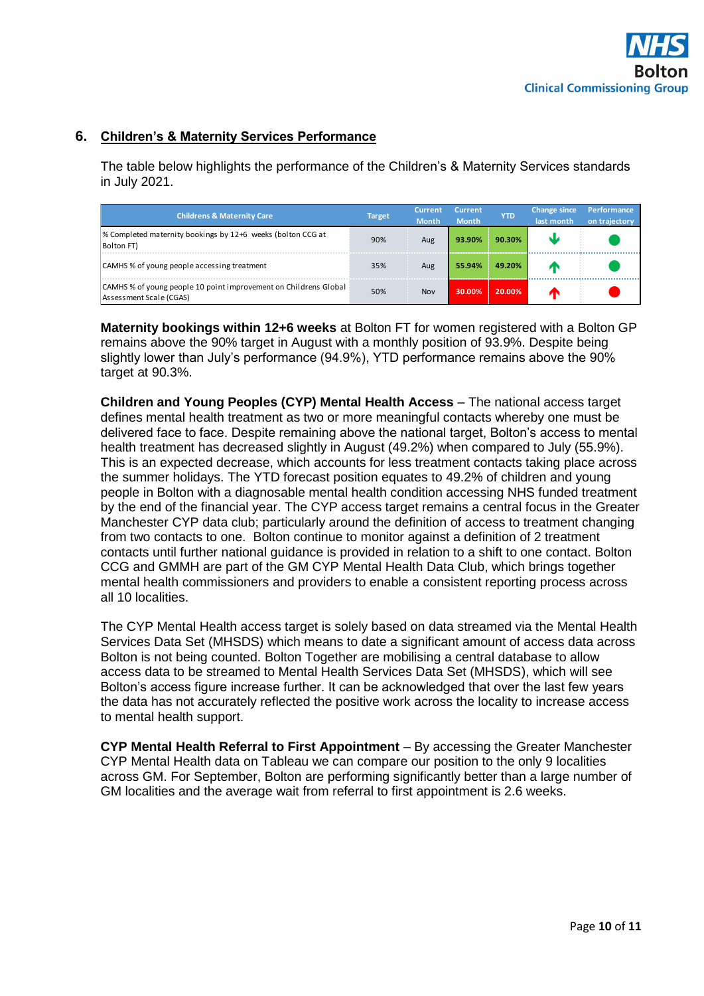## **6. Children's & Maternity Services Performance**

The table below highlights the performance of the Children's & Maternity Services standards in July 2021.

| <b>Childrens &amp; Maternity Care</b>                                                       | <b>Target</b> | Current<br><b>Month</b> | Current.<br><b>Month</b> | <b>YTD</b> | <b>Change since</b><br>last month | <b>Performance</b><br>on trajectory |
|---------------------------------------------------------------------------------------------|---------------|-------------------------|--------------------------|------------|-----------------------------------|-------------------------------------|
| % Completed maternity bookings by 12+6 weeks (bolton CCG at<br>Bolton FT)                   | 90%           | Aug                     | 93.90%                   | 90.30%     |                                   |                                     |
| CAMHS % of young people accessing treatment                                                 | 35%           | Aug                     | 55.94%                   | 49.20%     |                                   |                                     |
| CAMHS % of young people 10 point improvement on Childrens Global<br>Assessment Scale (CGAS) | 50%           | Nov                     | 30.00%                   | 20.00%     | Æ                                 |                                     |

**Maternity bookings within 12+6 weeks** at Bolton FT for women registered with a Bolton GP remains above the 90% target in August with a monthly position of 93.9%. Despite being slightly lower than July's performance (94.9%), YTD performance remains above the 90% target at 90.3%.

**Children and Young Peoples (CYP) Mental Health Access** – The national access target defines mental health treatment as two or more meaningful contacts whereby one must be delivered face to face. Despite remaining above the national target, Bolton's access to mental health treatment has decreased slightly in August (49.2%) when compared to July (55.9%). This is an expected decrease, which accounts for less treatment contacts taking place across the summer holidays. The YTD forecast position equates to 49.2% of children and young people in Bolton with a diagnosable mental health condition accessing NHS funded treatment by the end of the financial year. The CYP access target remains a central focus in the Greater Manchester CYP data club; particularly around the definition of access to treatment changing from two contacts to one. Bolton continue to monitor against a definition of 2 treatment contacts until further national guidance is provided in relation to a shift to one contact. Bolton CCG and GMMH are part of the GM CYP Mental Health Data Club, which brings together mental health commissioners and providers to enable a consistent reporting process across all 10 localities.

The CYP Mental Health access target is solely based on data streamed via the Mental Health Services Data Set (MHSDS) which means to date a significant amount of access data across Bolton is not being counted. Bolton Together are mobilising a central database to allow access data to be streamed to Mental Health Services Data Set (MHSDS), which will see Bolton's access figure increase further. It can be acknowledged that over the last few years the data has not accurately reflected the positive work across the locality to increase access to mental health support.

**CYP Mental Health Referral to First Appointment** – By accessing the Greater Manchester CYP Mental Health data on Tableau we can compare our position to the only 9 localities across GM. For September, Bolton are performing significantly better than a large number of GM localities and the average wait from referral to first appointment is 2.6 weeks.